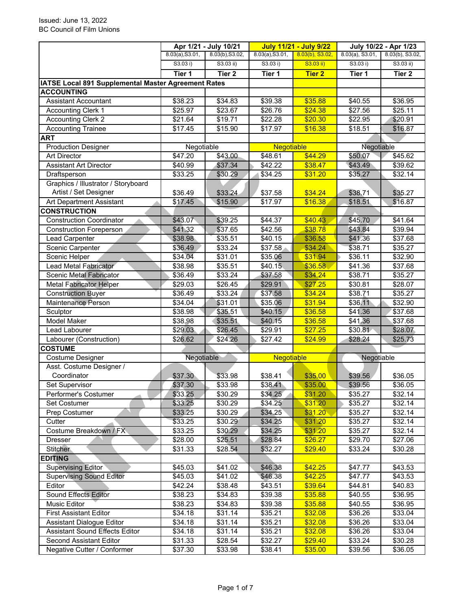|                                                     |                 | Apr 1/21 - July 10/21 |                     | <b>July 11/21 - July 9/22</b> |                    | July 10/22 - Apr 1/23 |
|-----------------------------------------------------|-----------------|-----------------------|---------------------|-------------------------------|--------------------|-----------------------|
|                                                     | 8.03(a), S3.01, | 8.03(b), S3.02,       | 8.03(a), S3.01,     | 8.03(b), S3.02,               | $8.03(a)$ , S3.01, | 8.03(b), S3.02,       |
|                                                     | S3.03 i)        | S3.03 ii)             | S3.03 i)            | S3.03 ii)                     | S3.03 i)           | $S3.03$ ii)           |
|                                                     | Tier 1          | Tier 2                | Tier 1              | <b>Tier 2</b>                 | Tier 1             | Tier 2                |
| IATSE Local 891 Supplemental Master Agreement Rates |                 |                       |                     |                               |                    |                       |
| <b>ACCOUNTING</b>                                   |                 |                       |                     |                               |                    |                       |
| <b>Assistant Accountant</b>                         | \$38.23         | \$34.83               | \$39.38             | \$35.88                       | \$40.55            | \$36.95               |
| <b>Accounting Clerk 1</b>                           | \$25.97         | \$23.67               | \$26.76             | \$24.38                       | \$27.56            | \$25.11               |
| <b>Accounting Clerk 2</b>                           | \$21.64         | \$19.71               | \$22.28             | \$20.30                       | \$22.95            | \$20.91               |
| <b>Accounting Trainee</b>                           | \$17.45         | \$15.90               | \$17.97             | \$16.38                       | \$18.51            | \$16.87               |
| <b>ART</b>                                          |                 |                       |                     |                               |                    |                       |
| <b>Production Designer</b>                          | Negotiable      |                       | <b>Negotiable</b>   |                               | Negotiable         |                       |
| <b>Art Director</b>                                 | \$47.20         | \$43.00               | \$48.61             | \$44.29                       | \$50.07            | \$45.62               |
| <b>Assistant Art Director</b>                       | \$40.99         | \$37.34               | \$42.22             | \$38.47                       | \$43.49            | \$39.62               |
| Draftsperson                                        | \$33.25         | \$30.29               | \$34.25             | \$31.20                       | \$35.27            | \$32.14               |
| Graphics / Illustrator / Storyboard                 |                 |                       |                     |                               |                    |                       |
| Artist / Set Designer                               | \$36.49         | \$33.24               | \$37.58             | \$34.24                       | \$38.71            | \$35.27               |
| Art Department Assistant                            | \$17.45         | \$15.90               | \$17.97             | \$16.38                       | \$18.51            | \$16.87               |
| <b>CONSTRUCTION</b>                                 |                 |                       |                     |                               |                    |                       |
| <b>Construction Coordinator</b>                     | \$43.07         | \$39.25               | \$44.37             | \$40.43                       | \$45.70            | \$41.64               |
| <b>Construction Foreperson</b>                      | \$41.32         | \$37.65               | \$42.56             | \$38.78                       | \$43.84            | \$39.94               |
| Lead Carpenter                                      | \$38.98         | \$35.51               | \$40.15             | \$36.58                       | \$41.36            | \$37.68               |
| Scenic Carpenter                                    | \$36.49         | \$33.24               | \$37.58             | \$34.24                       | \$38.71            | \$35.27               |
| Scenic Helper                                       | \$34.04         | \$31.01               | \$35.06             | \$31.94                       | \$36.11            | \$32.90               |
| Lead Metal Fabricator                               | \$38.98         | \$35.51               | \$40.15             | \$36.58                       | \$41.36            | \$37.68               |
| Scenic Metal Fabricator                             | \$36.49         | \$33.24               | \$37.58             | \$34.24                       | \$38.71            | \$35.27               |
| <b>Metal Fabricator Helper</b>                      | \$29.03         | \$26.45               | \$29.91             | \$27.25                       | \$30.81            | \$28.07               |
| <b>Construction Buyer</b>                           | \$36.49         | \$33.24               | \$37.58             | \$34.24                       | \$38.71            | \$35.27               |
| Maintenance Person                                  | \$34.04         | \$31.01               | \$35.06             | \$31.94                       | \$36.11            | \$32.90               |
| Sculptor                                            | \$38.98         | \$35.51               | \$40.15             | \$36.58                       | \$41.36            | \$37.68               |
| Model Maker                                         | \$38.98         | \$35.51               | \$40.15             | \$36.58                       | \$41.36            | \$37.68               |
| Lead Labourer                                       | \$29.03         | \$26.45               | \$29.91             | \$27.25                       | \$30.81            | \$28.07               |
| Labourer (Construction)                             | \$26.62         | \$24.26               | \$27.42             | \$24.99                       | \$28.24            | \$25.73               |
| <b>COSTUME</b>                                      |                 |                       |                     |                               |                    |                       |
| Costume Designer                                    | Negotiable      |                       | <b>Negotiable</b>   |                               | Negotiable         |                       |
| Asst. Costume Designer /                            |                 |                       |                     |                               |                    |                       |
| Coordinator                                         | \$37.30         | \$33.98               | \$38.41             | \$35.00                       | \$39.56            | \$36.05               |
| Set Supervisor                                      | \$37.30         | \$33.98               | \$38.41             | \$35.00                       | \$39.56            | \$36.05               |
| Performer's Costumer                                | \$33.25         | \$30.29               | \$34.25             | \$31.20                       | \$35.27            | \$32.14               |
| Set Costumer                                        | \$33.25         | \$30.29               | \$34.25             | \$31.20                       | \$35.27            | \$32.14               |
| <b>Prep Costumer</b>                                | \$33.25         | \$30.29               | \$34.25             | \$31.20                       | \$35.27            | \$32.14               |
| Cutter                                              | \$33.25         | \$30.29               | \$34.25             | \$31.20                       | \$35.27            | \$32.14               |
| Costume Breakdown / FX                              | \$33.25         | \$30.29               | \$34.25             | \$31.20                       | \$35.27            | \$32.14               |
| Dresser                                             | \$28.00         | \$25.51               | \$28.84             | \$26.27                       | \$29.70            | \$27.06               |
| <b>Stitcher</b>                                     | \$31.33         | \$28.54               | \$32.27             | \$29.40                       | \$33.24            | \$30.28               |
| <b>EDITING</b>                                      |                 |                       |                     |                               |                    |                       |
| <b>Supervising Editor</b>                           | \$45.03         | \$41.02               | \$46.38             | \$42.25                       | \$47.77            | \$43.53               |
| <b>Supervising Sound Editor</b>                     | \$45.03         | \$41.02               | \$46.38             | \$42.25                       | \$47.77            | \$43.53               |
| Editor                                              | \$42.24         | \$38.48               | \$43.51             | \$39.64                       | \$44.81            | \$40.83               |
| <b>Sound Effects Editor</b>                         | \$38.23         | \$34.83               | \$39.38             | \$35.88                       | \$40.55            | \$36.95               |
| Music Editor                                        | \$38.23         | \$34.83               | \$39.38             | \$35.88                       | \$40.55            | \$36.95               |
| <b>First Assistant Editor</b>                       | \$34.18         | \$31.14               | $\overline{$}35.21$ | \$32.08                       | \$36.26            | \$33.04               |
| <b>Assistant Dialogue Editor</b>                    | \$34.18         | \$31.14               | \$35.21             |                               | \$36.26            | \$33.04               |
| <b>Assistant Sound Effects Editor</b>               | \$34.18         | \$31.14               | \$35.21             | \$32.08<br>\$32.08            | \$36.26            | \$33.04               |
| Second Assistant Editor                             |                 | \$28.54               | \$32.27             |                               | \$33.24            | \$30.28               |
|                                                     | \$31.33         |                       |                     | \$29.40                       |                    |                       |
| Negative Cutter / Conformer                         | \$37.30         | \$33.98               | \$38.41             | \$35.00                       | \$39.56            | \$36.05               |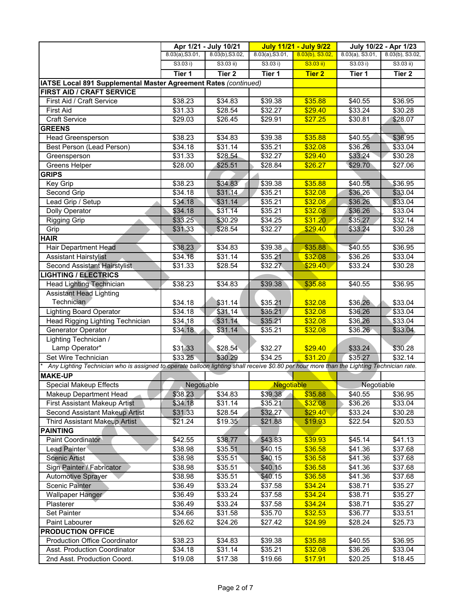|                                                                                                                                           |                 | Apr 1/21 - July 10/21 |                    | <b>July 11/21 - July 9/22</b> |                    | July 10/22 - Apr 1/23 |
|-------------------------------------------------------------------------------------------------------------------------------------------|-----------------|-----------------------|--------------------|-------------------------------|--------------------|-----------------------|
|                                                                                                                                           | 8.03(a), S3.01, | 8.03(b), S3.02,       | 8.03(a), S3.01,    | $8.03(b)$ , S3.02,            | $8.03(a)$ , S3.01, | 8.03(b), S3.02,       |
|                                                                                                                                           | S3.03 i)        | $S3.03$ ii)           | S3.03 i)           | S3.03 ii)                     | S3.03 i)           | $S3.03$ ii)           |
|                                                                                                                                           | Tier 1          | Tier <sub>2</sub>     | Tier 1             | <b>Tier 2</b>                 | Tier 1             | Tier 2                |
| IATSE Local 891 Supplemental Master Agreement Rates (continued)                                                                           |                 |                       |                    |                               |                    |                       |
| FIRST AID / CRAFT SERVICE                                                                                                                 |                 |                       |                    |                               |                    |                       |
| First Aid / Craft Service                                                                                                                 | \$38.23         | \$34.83               | \$39.38            | \$35.88                       | \$40.55            | \$36.95               |
| <b>First Aid</b>                                                                                                                          | \$31.33         | \$28.54               | \$32.27            | \$29.40                       | \$33.24            | \$30.28               |
| <b>Craft Service</b>                                                                                                                      | \$29.03         | \$26.45               | \$29.91            | \$27.25                       | \$30.81            | \$28.07               |
| <b>GREENS</b>                                                                                                                             |                 |                       |                    |                               |                    |                       |
| <b>Head Greensperson</b>                                                                                                                  | \$38.23         | \$34.83               | \$39.38            | \$35.88                       | \$40.55            | \$36.95               |
| Best Person (Lead Person)                                                                                                                 | \$34.18         | \$31.14               | \$35.21            | \$32.08                       | \$36.26            | \$33.04               |
| Greensperson                                                                                                                              | \$31.33         | \$28.54               | \$32.27            | \$29.40                       | \$33.24            | \$30.28               |
| Greens Helper                                                                                                                             | \$28.00         | \$25.51               | \$28.84            | \$26.27                       | \$29.70            | \$27.06               |
| <b>GRIPS</b>                                                                                                                              |                 |                       |                    |                               |                    |                       |
| Key Grip                                                                                                                                  | \$38.23         | \$34.83               | \$39.38            | \$35.88                       | \$40.55            | \$36.95               |
| Second Grip                                                                                                                               | \$34.18         | \$31.14               | \$35.21            | \$32.08                       | \$36.26            | \$33.04               |
| Lead Grip / Setup                                                                                                                         | \$34.18         | \$31.14               | \$35.21            | \$32.08                       | \$36.26            | \$33.04               |
| <b>Dolly Operator</b>                                                                                                                     | \$34.18         | \$31.14               | \$35.21            | \$32.08                       | \$36.26            | \$33.04               |
| <b>Rigging Grip</b>                                                                                                                       | \$33.25         | \$30.29               | \$34.25            | \$31.20                       | \$35.27            | \$32.14               |
| Grip                                                                                                                                      | \$31.33         | \$28.54               | \$32.27            | \$29.40                       | \$33.24            | \$30.28               |
| <b>HAIR</b>                                                                                                                               |                 |                       |                    |                               |                    |                       |
| Hair Department Head                                                                                                                      | \$38.23         | \$34.83               | \$39.38            | \$35.88                       | \$40.55            | \$36.95               |
| <b>Assistant Hairstylist</b>                                                                                                              | \$34.18         | \$31.14               | \$35.21            | \$32.08                       | \$36.26            | \$33.04               |
| Second Assistant Hairstylist                                                                                                              | \$31.33         | \$28.54               | \$32.27            | \$29.40                       | \$33.24            | \$30.28               |
| <b>LIGHTING / ELECTRICS</b>                                                                                                               |                 |                       |                    |                               |                    |                       |
| <b>Head Lighting Technician</b>                                                                                                           | \$38.23         | \$34.83               | \$39.38            | \$35.88                       | \$40.55            | \$36.95               |
| <b>Assistant Head Lighting</b>                                                                                                            |                 |                       |                    |                               |                    |                       |
| <b>Technician</b>                                                                                                                         | \$34.18         | \$31.14               | \$35.21            | \$32.08                       | \$36.26            | \$33.04               |
| <b>Lighting Board Operator</b>                                                                                                            | \$34.18         | \$31.14               | \$35.21            | \$32.08                       | \$36.26            | \$33.04               |
| Head Rigging Lighting Technician                                                                                                          | \$34.18         | \$31.14               | \$35.21            | \$32.08                       | \$36.26            | \$33.04               |
| Generator Operator                                                                                                                        | \$34.18         | \$31.14               | \$35.21            | \$32.08                       | \$36.26            | \$33.04               |
| Lighting Technician /                                                                                                                     |                 |                       |                    |                               |                    |                       |
| Lamp Operator*                                                                                                                            | \$31.33         | \$28.54               | \$32.27            | \$29.40                       | \$33.24            | \$30.28               |
| Set Wire Technician                                                                                                                       | \$33.25         | \$30.29               | \$34.25            | \$31.20                       | \$35.27            | \$32.14               |
| Any Lighting Technician who is assigned to operate balloon lighting shall receive \$0.80 per hour more than the Lighting Technician rate. |                 |                       |                    |                               |                    |                       |
| <b>MAKE-UP</b>                                                                                                                            |                 |                       |                    |                               |                    |                       |
| <b>Special Makeup Effects</b>                                                                                                             | Negotiable      |                       | <b>Negotiable</b>  |                               |                    |                       |
|                                                                                                                                           |                 |                       |                    | \$35.88                       | Negotiable         | \$36.95               |
| Makeup Department Head                                                                                                                    | \$38.23         | \$34.83               | \$39.38<br>\$35.21 | \$32.08                       | \$40.55<br>\$36.26 |                       |
| <b>First Assistant Makeup Artist</b><br>Second Assistant Makeup Artist                                                                    | \$34.18         | \$31.14               |                    | \$29.40                       |                    | \$33.04<br>\$30.28    |
| Third Assistant Makeup Artist                                                                                                             | \$31.33         | \$28.54               | \$32.27            | \$19.93                       | \$33.24            |                       |
|                                                                                                                                           | \$21.24         | \$19.35               | \$21.88            |                               | \$22.54            | \$20.53               |
| <b>PAINTING</b>                                                                                                                           |                 |                       |                    |                               |                    |                       |
| Paint Coordinator                                                                                                                         | \$42.55         | \$38.77               | \$43.83            | \$39.93                       | \$45.14            | \$41.13               |
| Lead Painter                                                                                                                              | \$38.98         | \$35.51               | \$40.15            | \$36.58                       | \$41.36            | \$37.68               |
| <b>Scenic Artist</b>                                                                                                                      | \$38.98         | \$35.51               | \$40.15            | \$36.58                       | \$41.36            | \$37.68               |
| Sign Painter / Fabricator                                                                                                                 | \$38.98         | \$35.51               | \$40.15            | \$36.58                       | \$41.36            | \$37.68               |
| <b>Automotive Sprayer</b>                                                                                                                 | \$38.98         | \$35.51               | \$40.15            | \$36.58                       | \$41.36            | \$37.68               |
| <b>Scenic Painter</b>                                                                                                                     | \$36.49         | \$33.24               | \$37.58            | \$34.24                       | \$38.71            | \$35.27               |
| Wallpaper Hanger                                                                                                                          | \$36.49         | \$33.24               | \$37.58            | \$34.24                       | \$38.71            | \$35.27               |
| Plasterer                                                                                                                                 | \$36.49         | \$33.24               | \$37.58            | \$34.24                       | \$38.71            | \$35.27               |
| Set Painter                                                                                                                               | \$34.66         | \$31.58               | \$35.70            | \$32.53                       | \$36.77            | \$33.51               |
| Paint Labourer                                                                                                                            | \$26.62         | \$24.26               | \$27.42            | \$24.99                       | \$28.24            | \$25.73               |
| <b>PRODUCTION OFFICE</b>                                                                                                                  |                 |                       |                    |                               |                    |                       |
| <b>Production Office Coordinator</b>                                                                                                      | \$38.23         | \$34.83               | \$39.38            | \$35.88                       | \$40.55            | \$36.95               |
| Asst. Production Coordinator                                                                                                              | \$34.18         | \$31.14               | \$35.21            | \$32.08                       | \$36.26            | \$33.04               |
| 2nd Asst. Production Coord.                                                                                                               | \$19.08         | \$17.38               | \$19.66            | \$17.91                       | \$20.25            | \$18.45               |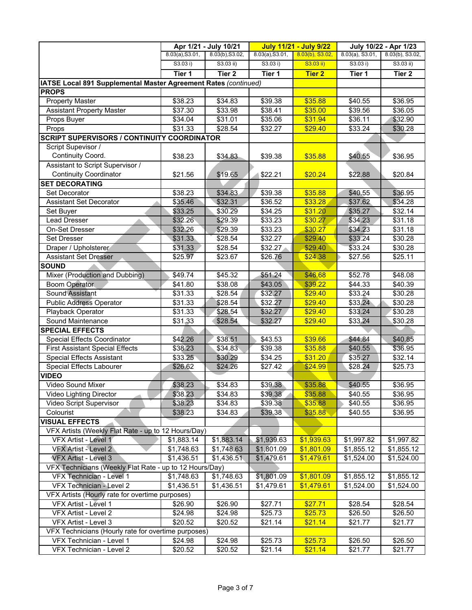|                                                                 |                 | Apr 1/21 - July 10/21 |                 | <b>July 11/21 - July 9/22</b> |                    | July 10/22 - Apr 1/23 |
|-----------------------------------------------------------------|-----------------|-----------------------|-----------------|-------------------------------|--------------------|-----------------------|
|                                                                 | 8.03(a), S3.01, | 8.03(b), S3.02,       | 8.03(a), S3.01, | $8.03(b)$ , S3.02,            | $8.03(a)$ , S3.01, | 8.03(b), S3.02,       |
|                                                                 | S3.03 i)        | $S3.03$ ii)           | S3.03 i)        | S3.03 ii)                     | S3.03 i)           | $S3.03$ ii)           |
|                                                                 | Tier 1          | Tier 2                | Tier 1          | <b>Tier 2</b>                 | Tier 1             | Tier 2                |
| IATSE Local 891 Supplemental Master Agreement Rates (continued) |                 |                       |                 |                               |                    |                       |
| <b>PROPS</b>                                                    |                 |                       |                 |                               |                    |                       |
| <b>Property Master</b>                                          | \$38.23         | \$34.83               | \$39.38         | \$35.88                       | \$40.55            | \$36.95               |
| <b>Assistant Property Master</b>                                | \$37.30         | \$33.98               | \$38.41         | \$35.00                       | \$39.56            | \$36.05               |
| Props Buyer                                                     | \$34.04         | \$31.01               | \$35.06         | \$31.94                       | \$36.11            | \$32.90               |
| Props                                                           | \$31.33         | \$28.54               | \$32.27         | \$29.40                       | \$33.24            | \$30.28               |
| <b>SCRIPT SUPERVISORS / CONTINUITY COORDINATOR</b>              |                 |                       |                 |                               |                    |                       |
| Script Supevisor /                                              |                 |                       |                 |                               |                    |                       |
| Continuity Coord.                                               | \$38.23         | \$34.83               | \$39.38         | \$35.88                       | \$40.55            | \$36.95               |
| Assistant to Script Supervisor /                                |                 |                       |                 |                               |                    |                       |
| <b>Continuity Coordinator</b>                                   | \$21.56         | \$19.65               | \$22.21         | \$20.24                       | \$22.88            | \$20.84               |
| <b>SET DECORATING</b>                                           |                 |                       |                 |                               |                    |                       |
| <b>Set Decorator</b>                                            | \$38.23         | \$34.83               | \$39.38         | \$35.88                       | \$40.55            | \$36.95               |
| <b>Assistant Set Decorator</b>                                  | \$35.46         | \$32.31               | \$36.52         | \$33.28                       | \$37.62            | \$34.28               |
| Set Buyer                                                       | \$33.25         | \$30.29               | \$34.25         | \$31.20                       | \$35.27            | \$32.14               |
| <b>Lead Dresser</b>                                             | \$32.26         | \$29.39               | \$33.23         | \$30.27                       | \$34.23            | \$31.18               |
| <b>On-Set Dresser</b>                                           | \$32.26         | \$29.39               | \$33.23         | \$30.27                       | \$34.23            | \$31.18               |
| <b>Set Dresser</b>                                              | \$31.33         | \$28.54               | \$32.27         | \$29.40                       | \$33.24            | \$30.28               |
| Draper / Upholsterer                                            | \$31.33         | \$28.54               | \$32.27         | \$29.40                       | \$33.24            | \$30.28               |
| <b>Assistant Set Dresser</b>                                    | \$25.97         | \$23.67               | \$26.76         | \$24.38                       | \$27.56            | \$25.11               |
| <b>SOUND</b>                                                    |                 |                       |                 |                               |                    |                       |
| Mixer (Production and Dubbing)                                  | \$49.74         | \$45.32               | \$51.24         | \$46.68                       | \$52.78            | \$48.08               |
| <b>Boom Operator</b>                                            | \$41.80         | \$38.08               | \$43.05         | \$39.22                       | \$44.33            | \$40.39               |
| Sound Assistant                                                 | \$31.33         | \$28.54               | \$32.27         | \$29.40                       | \$33.24            | \$30.28               |
| <b>Public Address Operator</b>                                  | \$31.33         | \$28.54               | \$32.27         | \$29.40                       | \$33.24            | \$30.28               |
| Playback Operator                                               | \$31.33         | \$28.54               | \$32.27         | \$29.40                       | \$33.24            | \$30.28               |
| Sound Maintenance                                               | \$31.33         | \$28.54               | \$32.27         | \$29.40                       | \$33.24            | \$30.28               |
| <b>SPECIAL EFFECTS</b>                                          |                 |                       |                 |                               |                    |                       |
| Special Effects Coordinator                                     | \$42.26         | \$38.51               | \$43.53         | \$39.66                       | \$44.84            | \$40.85               |
| <b>First Assistant Special Effects</b>                          | \$38.23         | \$34.83               | \$39.38         | \$35.88                       | \$40.55            | \$36.95               |
| <b>Special Effects Assistant</b>                                | \$33.25         | \$30.29               | \$34.25         | \$31.20                       | \$35.27            | \$32.14               |
| Special Effects Labourer                                        | \$26.62         | \$24.26               | \$27.42         | \$24.99                       | \$28.24            | \$25.73               |
| <b>VIDEO</b>                                                    |                 |                       |                 |                               |                    |                       |
| Video Sound Mixer                                               | \$38.23         | \$34.83               | \$39.38         | \$35.88                       | \$40.55            | \$36.95               |
| Video Lighting Director                                         | \$38.23         | \$34.83               | \$39.38         | \$35.88                       | \$40.55            | \$36.95               |
| Video Script Supervisor                                         | \$38.23         | \$34.83               | \$39.38         | \$35.88                       | \$40.55            | \$36.95               |
| Colourist                                                       | \$38.23         | \$34.83               | \$39.38         | \$35.88                       | \$40.55            | \$36.95               |
| <b>VISUAL EFFECTS</b>                                           |                 |                       |                 |                               |                    |                       |
| VFX Artists (Weekly Flat Rate - up to 12 Hours/Day)             |                 |                       |                 |                               |                    |                       |
| VFX Artist - Level 1                                            | \$1,883.14      | \$1,883.14            | \$1,939.63      | \$1,939.63                    | \$1,997.82         | \$1,997.82            |
| VFX Artist - Level 2                                            | \$1,748.63      | \$1,748.63            | \$1,801.09      | \$1,801.09                    | \$1,855.12         | \$1,855.12            |
| <b>VFX Artist - Level 3</b>                                     | \$1,436.51      | \$1,436.51            | \$1,479.61      | \$1,479.61                    | \$1,524.00         |                       |
| VFX Technicians (Weekly Flat Rate - up to 12 Hours/Day)         |                 |                       |                 |                               |                    | \$1,524.00            |
|                                                                 |                 | \$1,748.63            |                 |                               | \$1,855.12         |                       |
| VFX Technician - Level 1                                        | \$1,748.63      |                       | \$1,801.09      | \$1,801.09                    |                    | \$1,855.12            |
| VFX Technician - Level 2                                        | \$1,436.51      | \$1,436.51            | \$1,479.61      | \$1,479.61                    | \$1,524.00         | \$1,524.00            |
| VFX Artists (Hourly rate for overtime purposes)                 |                 |                       |                 |                               |                    |                       |
| VFX Artist - Level 1                                            | \$26.90         | \$26.90               | \$27.71         | \$27.71                       | \$28.54            | \$28.54               |
| VFX Artist - Level 2                                            | \$24.98         | \$24.98               | \$25.73         | \$25.73                       | \$26.50            | \$26.50               |
| VFX Artist - Level 3                                            | \$20.52         | \$20.52               | \$21.14         | \$21.14                       | \$21.77            | \$21.77               |
| VFX Technicians (Hourly rate for overtime purposes)             |                 |                       |                 |                               |                    |                       |
| VFX Technician - Level 1                                        | \$24.98         | \$24.98               | \$25.73         | \$25.73                       | \$26.50            | \$26.50               |
| VFX Technician - Level 2                                        | \$20.52         | \$20.52               | \$21.14         | \$21.14                       | \$21.77            | \$21.77               |